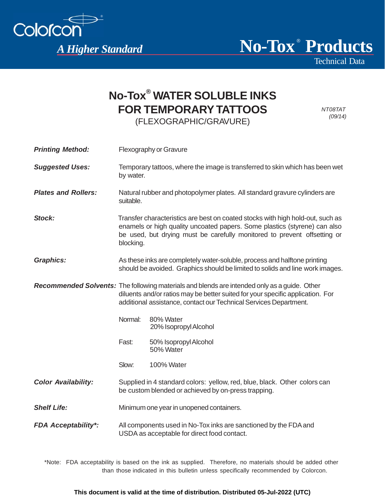

**Printing Method:** Flexography or Grayure

Technical Data

## **No-Tox® WATER SOLUBLE INKS FOR TEMPORARY TATTOOS**  (FLEXOGRAPHIC/GRAVURE)

*NT08TAT (09/14)*

| <b>Suggested Uses:</b>     | Temporary tattoos, where the image is transferred to skin which has been wet<br>by water.                                                                                                                                                            |                                    |
|----------------------------|------------------------------------------------------------------------------------------------------------------------------------------------------------------------------------------------------------------------------------------------------|------------------------------------|
| <b>Plates and Rollers:</b> | Natural rubber and photopolymer plates. All standard gravure cylinders are<br>suitable.                                                                                                                                                              |                                    |
| Stock:                     | Transfer characteristics are best on coated stocks with high hold-out, such as<br>enamels or high quality uncoated papers. Some plastics (styrene) can also<br>be used, but drying must be carefully monitored to prevent offsetting or<br>blocking. |                                    |
| <b>Graphics:</b>           | As these inks are completely water-soluble, process and halftone printing<br>should be avoided. Graphics should be limited to solids and line work images.                                                                                           |                                    |
|                            | Recommended Solvents: The following materials and blends are intended only as a guide. Other<br>diluents and/or ratios may be better suited for your specific application. For<br>additional assistance, contact our Technical Services Department.  |                                    |
|                            | Normal:                                                                                                                                                                                                                                              | 80% Water<br>20% Isopropyl Alcohol |
|                            | Fast:                                                                                                                                                                                                                                                | 50% Isopropyl Alcohol<br>50% Water |
|                            | Slow:                                                                                                                                                                                                                                                | 100% Water                         |
| <b>Color Availability:</b> | Supplied in 4 standard colors: yellow, red, blue, black. Other colors can<br>be custom blended or achieved by on-press trapping.                                                                                                                     |                                    |

**Shelf Life:** Minimum one year in unopened containers.

*FDA Acceptability\*:* All components used in No-Tox inks are sanctioned by the FDA and USDA as acceptable for direct food contact.

\*Note: FDA acceptability is based on the ink as supplied. Therefore, no materials should be added other than those indicated in this bulletin unless specifically recommended by Colorcon.

## **This document is valid at the time of distribution. Distributed 05-Jul-2022 (UTC)**